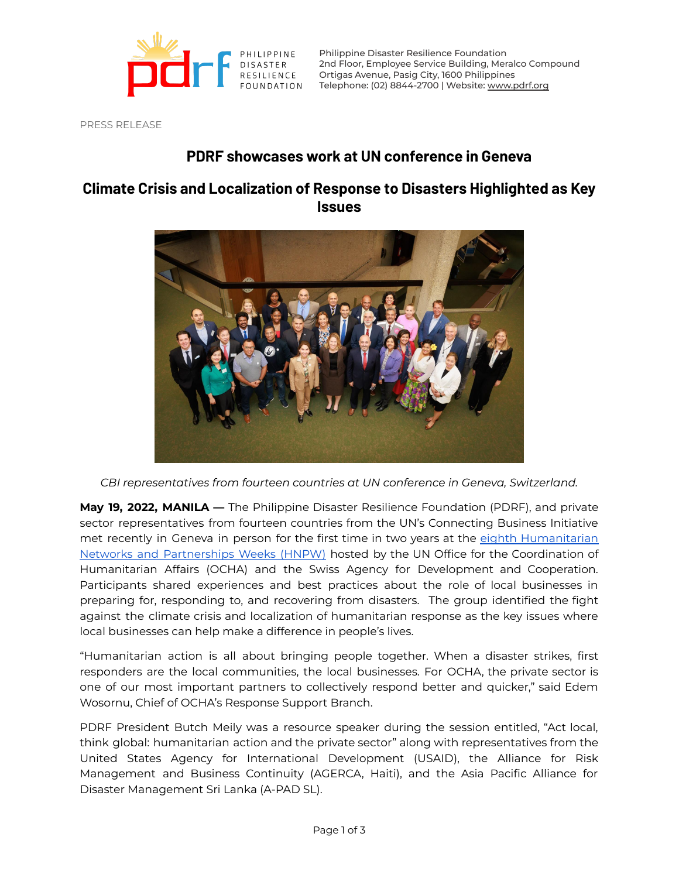

Philippine Disaster Resilience Foundation 2nd Floor, Employee Service Building, Meralco Compound Ortigas Avenue, Pasig City, 1600 Philippines Telephone: (02) 8844-2700 | Website: [www.pdrf.org](http://www.pdrf.org)

PRESS RELEASE

## **PDRF showcases work at UN conference in Geneva**

## **Climate Crisis and Localization of Response to Disasters Highlighted as Key Issues**



*CBI representatives from fourteen countries at UN conference in Geneva, Switzerland.*

**May 19, 2022, MANILA —** The Philippine Disaster Resilience Foundation (PDRF), and private sector representatives from fourteen countries from the UN's Connecting Business Initiative met recently in Geneva in person for the first time in two years at the eighth [Humanitarian](https://www.connectingbusiness.org/news-events/events/HNPW2022) Networks and [Partnerships](https://www.connectingbusiness.org/news-events/events/HNPW2022) Weeks (HNPW) hosted by the UN Office for the Coordination of Humanitarian Affairs (OCHA) and the Swiss Agency for Development and Cooperation. Participants shared experiences and best practices about the role of local businesses in preparing for, responding to, and recovering from disasters. The group identified the fight against the climate crisis and localization of humanitarian response as the key issues where local businesses can help make a difference in people's lives.

"Humanitarian action is all about bringing people together. When a disaster strikes, first responders are the local communities, the local businesses. For OCHA, the private sector is one of our most important partners to collectively respond better and quicker," said Edem Wosornu, Chief of OCHA's Response Support Branch.

PDRF President Butch Meily was a resource speaker during the session entitled, "Act local, think global: humanitarian action and the private sector" along with representatives from the United States Agency for International Development (USAID), the Alliance for Risk Management and Business Continuity (AGERCA, Haiti), and the Asia Pacific Alliance for Disaster Management Sri Lanka (A-PAD SL).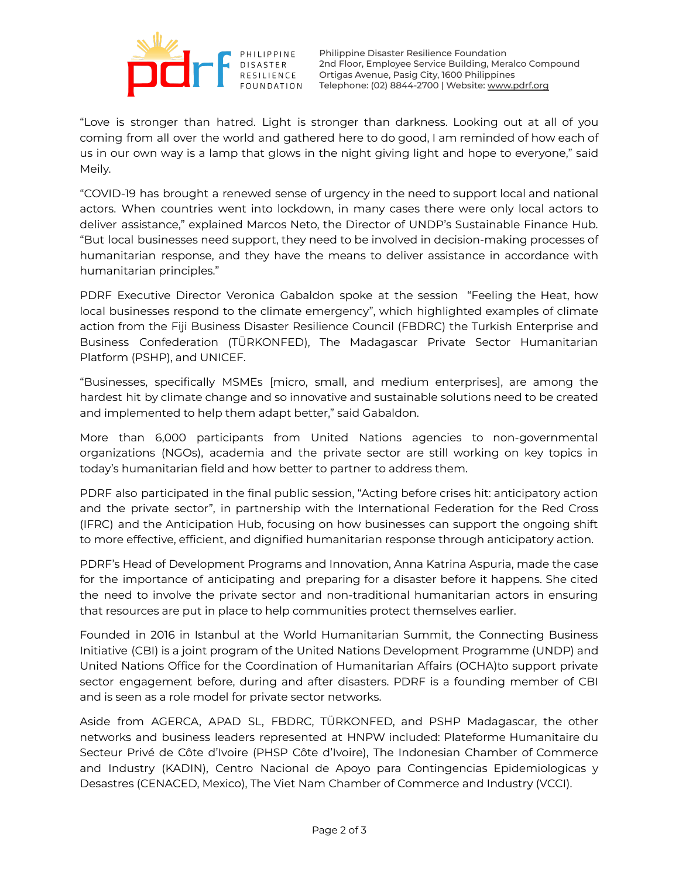

Philippine Disaster Resilience Foundation 2nd Floor, Employee Service Building, Meralco Compound Ortigas Avenue, Pasig City, 1600 Philippines Telephone: (02) 8844-2700 | Website: [www.pdrf.org](http://www.pdrf.org)

"Love is stronger than hatred. Light is stronger than darkness. Looking out at all of you coming from all over the world and gathered here to do good, I am reminded of how each of us in our own way is a lamp that glows in the night giving light and hope to everyone," said Meily.

"COVID-19 has brought a renewed sense of urgency in the need to support local and national actors. When countries went into lockdown, in many cases there were only local actors to deliver assistance," explained Marcos Neto, the Director of UNDP's Sustainable Finance Hub. "But local businesses need support, they need to be involved in decision-making processes of humanitarian response, and they have the means to deliver assistance in accordance with humanitarian principles."

PDRF Executive Director Veronica Gabaldon spoke at the session "Feeling the Heat, how local businesses respond to the climate emergency", which highlighted examples of climate action from the Fiji Business Disaster Resilience Council (FBDRC) the Turkish Enterprise and Business Confederation (TÜRKONFED), The Madagascar Private Sector Humanitarian Platform (PSHP), and UNICEF.

"Businesses, specifically MSMEs [micro, small, and medium enterprises], are among the hardest hit by climate change and so innovative and sustainable solutions need to be created and implemented to help them adapt better," said Gabaldon.

More than 6,000 participants from United Nations agencies to non-governmental organizations (NGOs), academia and the private sector are still working on key topics in today's humanitarian field and how better to partner to address them.

PDRF also participated in the final public session, "Acting before crises hit: anticipatory action and the private sector", in partnership with the International Federation for the Red Cross (IFRC) and the Anticipation Hub, focusing on how businesses can support the ongoing shift to more effective, efficient, and dignified humanitarian response through anticipatory action.

PDRF's Head of Development Programs and Innovation, Anna Katrina Aspuria, made the case for the importance of anticipating and preparing for a disaster before it happens. She cited the need to involve the private sector and non-traditional humanitarian actors in ensuring that resources are put in place to help communities protect themselves earlier.

Founded in 2016 in Istanbul at the World Humanitarian Summit, the Connecting Business Initiative (CBI) is a joint program of the United Nations Development Programme (UNDP) and United Nations Office for the Coordination of Humanitarian Affairs (OCHA)to support private sector engagement before, during and after disasters. PDRF is a founding member of CBI and is seen as a role model for private sector networks.

Aside from AGERCA, APAD SL, FBDRC, TÜRKONFED, and PSHP Madagascar, the other networks and business leaders represented at HNPW included: Plateforme Humanitaire du Secteur Privé de Côte d'Ivoire (PHSP Côte d'Ivoire), The Indonesian Chamber of Commerce and Industry (KADIN), Centro Nacional de Apoyo para Contingencias Epidemiologicas y Desastres (CENACED, Mexico), The Viet Nam Chamber of Commerce and Industry (VCCI).